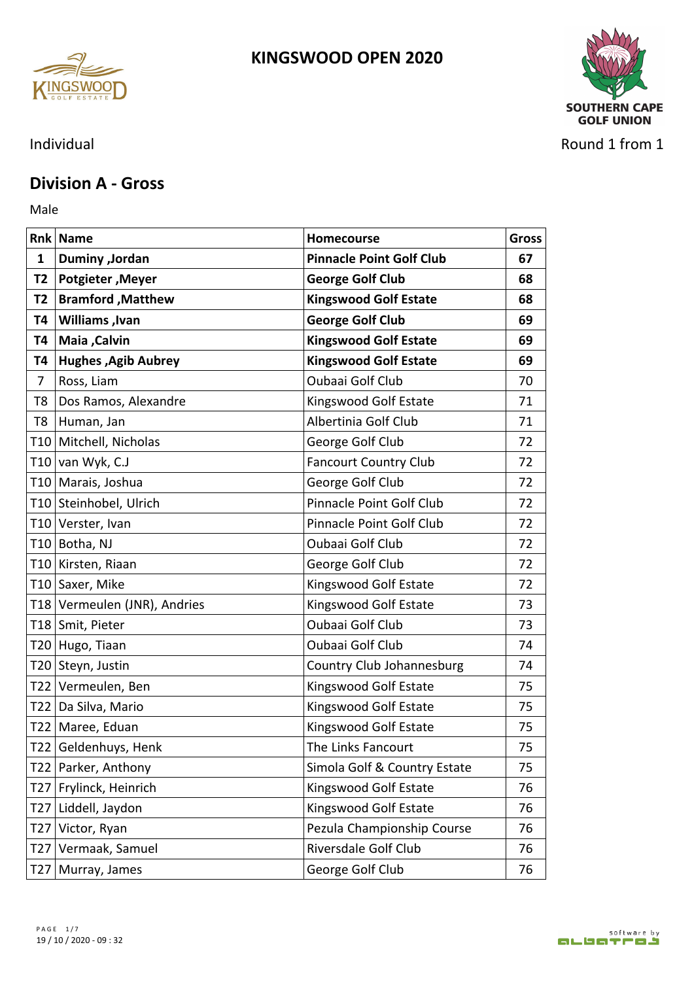



Individual Round 1 from 1

### **Division A - Gross**

Male **Male** 

|    | <b>Rnk Name</b>              | Homecourse                      | <b>Gross</b> |
|----|------------------------------|---------------------------------|--------------|
| 1  | Duminy , Jordan              | <b>Pinnacle Point Golf Club</b> | 67           |
|    | T2   Potgieter , Meyer       | <b>George Golf Club</b>         | 68           |
| T2 | <b>Bramford, Matthew</b>     | <b>Kingswood Golf Estate</b>    | 68           |
| Τ4 | <b>Williams</b> , Ivan       | <b>George Golf Club</b>         | 69           |
| Т4 | Maia , Calvin                | <b>Kingswood Golf Estate</b>    | 69           |
|    | T4 Hughes , Agib Aubrey      | <b>Kingswood Golf Estate</b>    | 69           |
| 7  | Ross, Liam                   | Oubaai Golf Club                | 70           |
| T8 | Dos Ramos, Alexandre         | Kingswood Golf Estate           | 71           |
|    | T8 Human, Jan                | Albertinia Golf Club            | 71           |
|    | T10 Mitchell, Nicholas       | George Golf Club                | 72           |
|    | T10 van Wyk, C.J             | <b>Fancourt Country Club</b>    | 72           |
|    | T10 Marais, Joshua           | George Golf Club                | 72           |
|    | T10 Steinhobel, Ulrich       | Pinnacle Point Golf Club        | 72           |
|    | T10 Verster, Ivan            | Pinnacle Point Golf Club        | 72           |
|    | T10 Botha, NJ                | Oubaai Golf Club                | 72           |
|    | T10 Kirsten, Riaan           | George Golf Club                | 72           |
|    | T10 Saxer, Mike              | Kingswood Golf Estate           | 72           |
|    | T18 Vermeulen (JNR), Andries | Kingswood Golf Estate           | 73           |
|    | T18 Smit, Pieter             | Oubaai Golf Club                | 73           |
|    | T20 Hugo, Tiaan              | Oubaai Golf Club                | 74           |
|    | T20 Steyn, Justin            | Country Club Johannesburg       | 74           |
|    | T22 Vermeulen, Ben           | Kingswood Golf Estate           | 75           |
|    | T22   Da Silva, Mario        | Kingswood Golf Estate           | 75           |
|    | T22   Maree, Eduan           | Kingswood Golf Estate           | 75           |
|    | T22 Geldenhuys, Henk         | The Links Fancourt              | 75           |
|    | T22   Parker, Anthony        | Simola Golf & Country Estate    | 75           |
|    | T27 Frylinck, Heinrich       | Kingswood Golf Estate           | 76           |
|    | T27 Liddell, Jaydon          | Kingswood Golf Estate           | 76           |
|    | T27 Victor, Ryan             | Pezula Championship Course      | 76           |
|    | T27 Vermaak, Samuel          | Riversdale Golf Club            | 76           |
|    | T27 Murray, James            | George Golf Club                | 76           |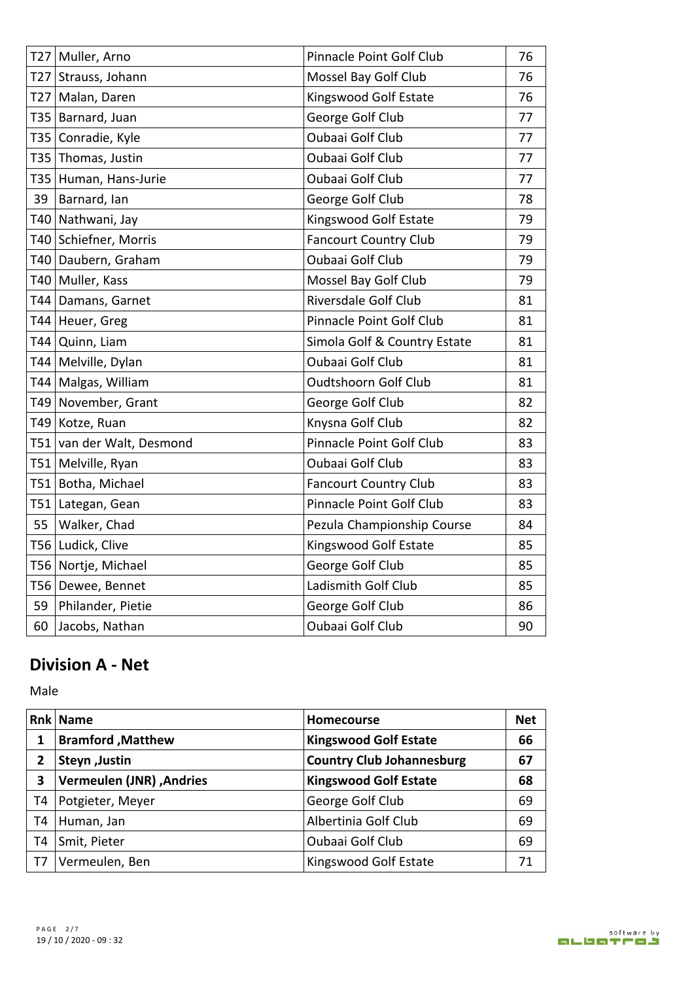| T27 Muller, Arno          | Pinnacle Point Golf Club     | 76 |
|---------------------------|------------------------------|----|
| T27 Strauss, Johann       | Mossel Bay Golf Club         | 76 |
| T27 Malan, Daren          | Kingswood Golf Estate        | 76 |
| T35   Barnard, Juan       | George Golf Club             | 77 |
| T35 Conradie, Kyle        | <b>Oubaai Golf Club</b>      | 77 |
| T35 Thomas, Justin        | Oubaai Golf Club             | 77 |
| T35 Human, Hans-Jurie     | <b>Oubaai Golf Club</b>      | 77 |
| 39 Barnard, Ian           | George Golf Club             | 78 |
| T40 Nathwani, Jay         | Kingswood Golf Estate        | 79 |
| T40 Schiefner, Morris     | <b>Fancourt Country Club</b> | 79 |
| T40 Daubern, Graham       | <b>Oubaai Golf Club</b>      | 79 |
| T40 Muller, Kass          | Mossel Bay Golf Club         | 79 |
| T44 Damans, Garnet        | Riversdale Golf Club         | 81 |
| T44 Heuer, Greg           | Pinnacle Point Golf Club     | 81 |
| T44 Quinn, Liam           | Simola Golf & Country Estate | 81 |
| T44   Melville, Dylan     | <b>Oubaai Golf Club</b>      | 81 |
| T44 Malgas, William       | <b>Oudtshoorn Golf Club</b>  | 81 |
| T49 November, Grant       | George Golf Club             | 82 |
| T49 Kotze, Ruan           | Knysna Golf Club             | 82 |
| T51 van der Walt, Desmond | Pinnacle Point Golf Club     | 83 |
| T51 Melville, Ryan        | Oubaai Golf Club             | 83 |
| T51 Botha, Michael        | <b>Fancourt Country Club</b> | 83 |
| T51 Lategan, Gean         | Pinnacle Point Golf Club     | 83 |
| 55   Walker, Chad         | Pezula Championship Course   | 84 |
| T56 Ludick, Clive         | Kingswood Golf Estate        | 85 |
| T56 Nortje, Michael       | George Golf Club             | 85 |
| T56 Dewee, Bennet         | Ladismith Golf Club          | 85 |
| 59 Philander, Pietie      | George Golf Club             | 86 |
| 60 Jacobs, Nathan         | <b>Oubaai Golf Club</b>      | 90 |

## **Division A - Net**

Male

|    | <b>Rnk Name</b>                | <b>Homecourse</b>                | <b>Net</b> |
|----|--------------------------------|----------------------------------|------------|
|    | <b>Bramford, Matthew</b>       | <b>Kingswood Golf Estate</b>     | 66         |
| 2  | <b>Steyn</b> , Justin          | <b>Country Club Johannesburg</b> | 67         |
| 3  | Andries (JNR), Vermeulen (JNR) | <b>Kingswood Golf Estate</b>     | 68         |
| T4 | Potgieter, Meyer               | George Golf Club                 | 69         |
| Т4 | Human, Jan                     | Albertinia Golf Club             | 69         |
| Т4 | Smit, Pieter                   | <b>Oubaai Golf Club</b>          | 69         |
| T7 | Vermeulen, Ben                 | Kingswood Golf Estate            | 71         |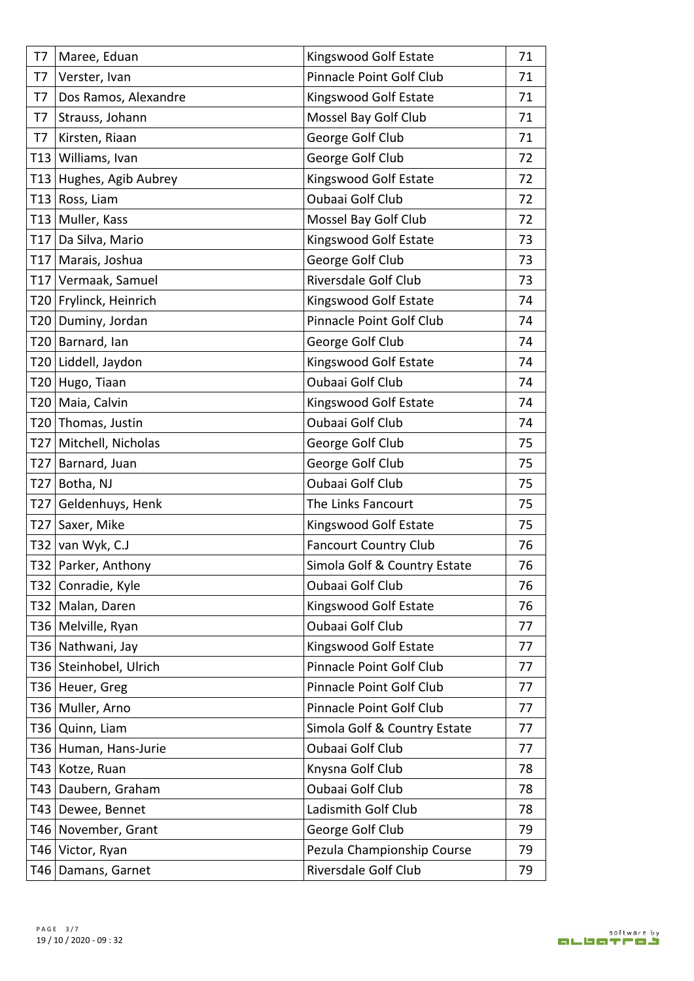|    | T7   Maree, Eduan           | Kingswood Golf Estate        | 71 |
|----|-----------------------------|------------------------------|----|
| T7 | Verster, Ivan               | Pinnacle Point Golf Club     | 71 |
|    | T7   Dos Ramos, Alexandre   | Kingswood Golf Estate        | 71 |
| T7 | Strauss, Johann             | Mossel Bay Golf Club         | 71 |
| T7 | Kirsten, Riaan              | George Golf Club             | 71 |
|    | T13 Williams, Ivan          | George Golf Club             | 72 |
|    | T13 Hughes, Agib Aubrey     | Kingswood Golf Estate        | 72 |
|    | T13 Ross, Liam              | <b>Oubaai Golf Club</b>      | 72 |
|    | T13 Muller, Kass            | Mossel Bay Golf Club         | 72 |
|    | T17 Da Silva, Mario         | Kingswood Golf Estate        | 73 |
|    | T17 Marais, Joshua          | George Golf Club             | 73 |
|    | T17 Vermaak, Samuel         | Riversdale Golf Club         | 73 |
|    | T20 Frylinck, Heinrich      | Kingswood Golf Estate        | 74 |
|    | T20 Duminy, Jordan          | Pinnacle Point Golf Club     | 74 |
|    | T20 Barnard, Ian            | George Golf Club             | 74 |
|    | T20 Liddell, Jaydon         | Kingswood Golf Estate        | 74 |
|    | T20 Hugo, Tiaan             | Oubaai Golf Club             | 74 |
|    | T20   Maia, Calvin          | Kingswood Golf Estate        | 74 |
|    | T20 Thomas, Justin          | Oubaai Golf Club             | 74 |
|    | T27 Mitchell, Nicholas      | George Golf Club             | 75 |
|    | T27 Barnard, Juan           | George Golf Club             | 75 |
|    | T27 Botha, NJ               | Oubaai Golf Club             | 75 |
|    | T27 Geldenhuys, Henk        | The Links Fancourt           | 75 |
|    | T27 Saxer, Mike             | Kingswood Golf Estate        | 75 |
|    | T32 van Wyk, $C.J$          | <b>Fancourt Country Club</b> | 76 |
|    | T32 Parker, Anthony         | Simola Golf & Country Estate | 76 |
|    | T32 Conradie, Kyle          | Oubaai Golf Club             | 76 |
|    | T32 Malan, Daren            | Kingswood Golf Estate        | 76 |
|    | T36   Melville, Ryan        | Oubaai Golf Club             | 77 |
|    | T36 Nathwani, Jay           | Kingswood Golf Estate        | 77 |
|    | T36 Steinhobel, Ulrich      | Pinnacle Point Golf Club     | 77 |
|    | T36 Heuer, Greg             | Pinnacle Point Golf Club     | 77 |
|    | T36 Muller, Arno            | Pinnacle Point Golf Club     | 77 |
|    | T <sub>36</sub> Quinn, Liam | Simola Golf & Country Estate | 77 |
|    | T36 Human, Hans-Jurie       | Oubaai Golf Club             | 77 |
|    | T43 Kotze, Ruan             | Knysna Golf Club             | 78 |
|    | T43 Daubern, Graham         | Oubaai Golf Club             | 78 |
|    | T43 Dewee, Bennet           | Ladismith Golf Club          | 78 |
|    | T46 November, Grant         | George Golf Club             | 79 |
|    | T46 Victor, Ryan            | Pezula Championship Course   | 79 |
|    | T46   Damans, Garnet        | Riversdale Golf Club         | 79 |
|    |                             |                              |    |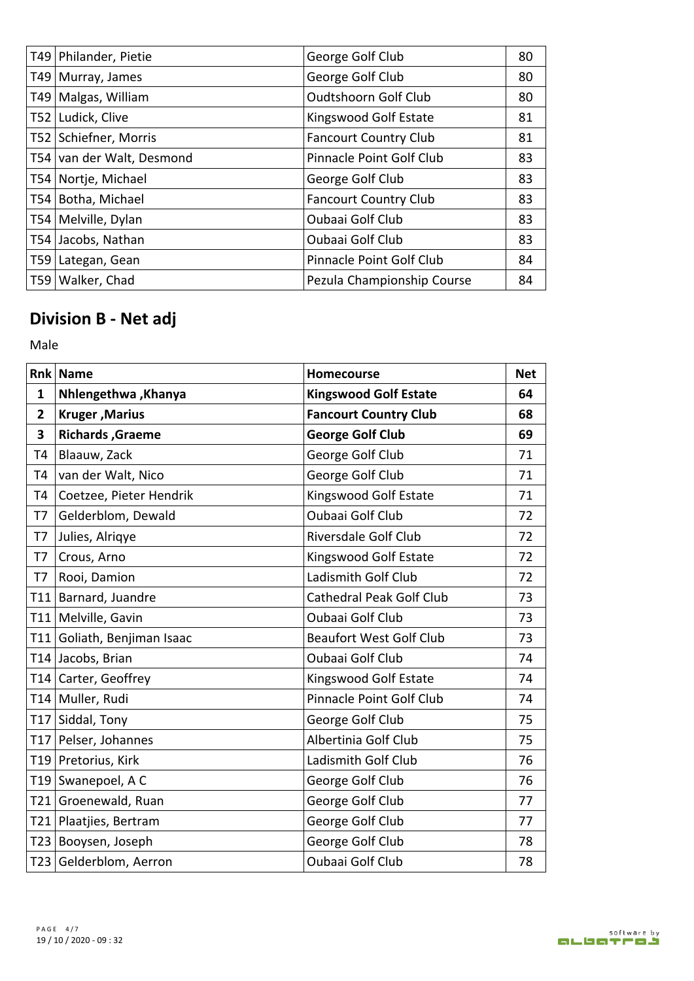| T49   Philander, Pietie   | George Golf Club             | 80 |
|---------------------------|------------------------------|----|
| T49   Murray, James       | George Golf Club             | 80 |
| T49   Malgas, William     | <b>Oudtshoorn Golf Club</b>  | 80 |
| T52 Ludick, Clive         | Kingswood Golf Estate        | 81 |
| T52   Schiefner, Morris   | <b>Fancourt Country Club</b> | 81 |
| T54 van der Walt, Desmond | Pinnacle Point Golf Club     | 83 |
| T54 Nortje, Michael       | George Golf Club             | 83 |
| T54 Botha, Michael        | <b>Fancourt Country Club</b> | 83 |
| T54   Melville, Dylan     | <b>Oubaai Golf Club</b>      | 83 |
| T54 Jacobs, Nathan        | <b>Oubaai Golf Club</b>      | 83 |
| T59 Lategan, Gean         | Pinnacle Point Golf Club     | 84 |
| T59   Walker, Chad        | Pezula Championship Course   | 84 |

# **Division B - Net adj**

Male

|    | <b>Rnk Name</b>             | <b>Homecourse</b>              | <b>Net</b> |
|----|-----------------------------|--------------------------------|------------|
| 1  | Nhlengethwa, Khanya         | <b>Kingswood Golf Estate</b>   | 64         |
| 2  | <b>Kruger, Marius</b>       | <b>Fancourt Country Club</b>   | 68         |
| 3  | <b>Richards, Graeme</b>     | <b>George Golf Club</b>        | 69         |
| Т4 | Blaauw, Zack                | George Golf Club               | 71         |
| Т4 | van der Walt, Nico          | George Golf Club               | 71         |
| Т4 | Coetzee, Pieter Hendrik     | Kingswood Golf Estate          | 71         |
| T7 | Gelderblom, Dewald          | Oubaai Golf Club               | 72         |
| T7 | Julies, Alriqye             | Riversdale Golf Club           | 72         |
| T7 | Crous, Arno                 | Kingswood Golf Estate          | 72         |
| T7 | Rooi, Damion                | Ladismith Golf Club            | 72         |
|    | T11 Barnard, Juandre        | Cathedral Peak Golf Club       | 73         |
|    | T11 Melville, Gavin         | Oubaai Golf Club               | 73         |
|    | T11 Goliath, Benjiman Isaac | <b>Beaufort West Golf Club</b> | 73         |
|    | T14 Jacobs, Brian           | Oubaai Golf Club               | 74         |
|    | T14 Carter, Geoffrey        | Kingswood Golf Estate          | 74         |
|    | T14 Muller, Rudi            | Pinnacle Point Golf Club       | 74         |
|    | T17 Siddal, Tony            | George Golf Club               | 75         |
|    | T17 Pelser, Johannes        | Albertinia Golf Club           | 75         |
|    | T19 Pretorius, Kirk         | Ladismith Golf Club            | 76         |
|    | T19 Swanepoel, A C          | George Golf Club               | 76         |
|    | T21 Groenewald, Ruan        | George Golf Club               | 77         |
|    | T21 Plaatjies, Bertram      | George Golf Club               | 77         |
|    | T23 Booysen, Joseph         | George Golf Club               | 78         |
|    | T23 Gelderblom, Aerron      | Oubaai Golf Club               | 78         |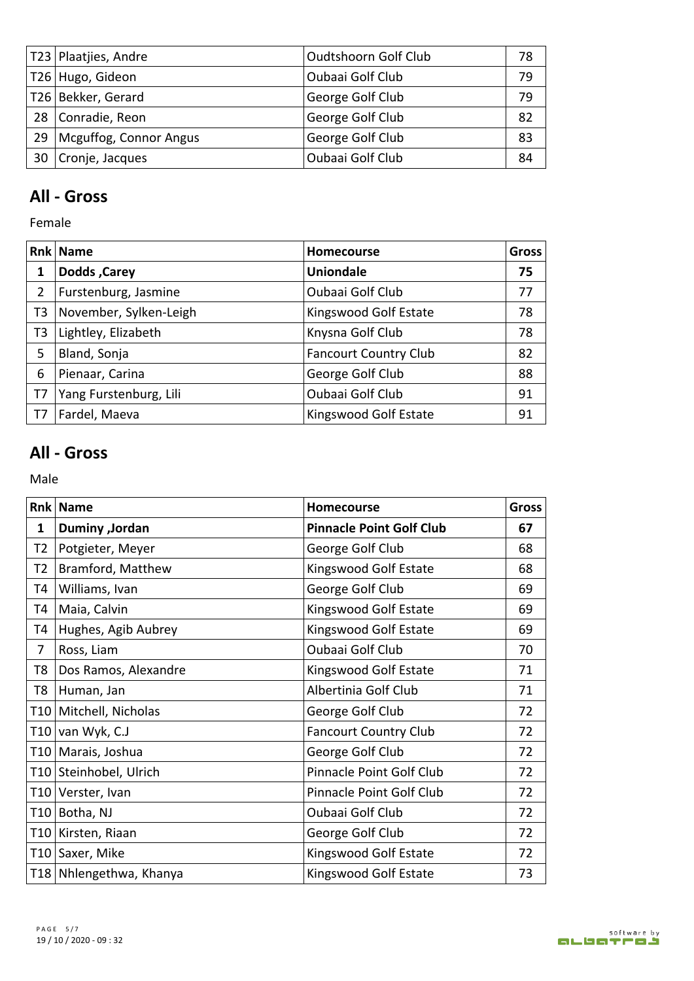| T23   Plaatjies, Andre      | <b>Oudtshoorn Golf Club</b> | 78 |
|-----------------------------|-----------------------------|----|
| T26 Hugo, Gideon            | Oubaai Golf Club            | 79 |
| T26 Bekker, Gerard          | George Golf Club            | 79 |
| 28 Conradie, Reon           | George Golf Club            | 82 |
| 29   Mcguffog, Connor Angus | George Golf Club            | 83 |
| 30 Cronje, Jacques          | Oubaai Golf Club            | 84 |

### **All - Gross**

Female

|                | <b>Rnk Name</b>        | <b>Homecourse</b>            | <b>Gross</b> |
|----------------|------------------------|------------------------------|--------------|
|                | <b>Dodds, Carey</b>    | <b>Uniondale</b>             | 75           |
|                | Furstenburg, Jasmine   | Oubaai Golf Club             | 77           |
| T3             | November, Sylken-Leigh | Kingswood Golf Estate        | 78           |
| T <sub>3</sub> | Lightley, Elizabeth    | Knysna Golf Club             | 78           |
| 5              | Bland, Sonja           | <b>Fancourt Country Club</b> | 82           |
| 6              | Pienaar, Carina        | George Golf Club             | 88           |
| T7             | Yang Furstenburg, Lili | Oubaai Golf Club             | 91           |
| T7             | Fardel, Maeva          | Kingswood Golf Estate        | 91           |

### **All - Gross**

Male **Male** 

|    | <b>Rnk Name</b>           | <b>Homecourse</b>               | <b>Gross</b> |
|----|---------------------------|---------------------------------|--------------|
| 1  | Duminy , Jordan           | <b>Pinnacle Point Golf Club</b> | 67           |
|    | T2   Potgieter, Meyer     | George Golf Club                | 68           |
| T2 | Bramford, Matthew         | Kingswood Golf Estate           | 68           |
| T4 | Williams, Ivan            | George Golf Club                | 69           |
| T4 | Maia, Calvin              | Kingswood Golf Estate           | 69           |
|    | T4 Hughes, Agib Aubrey    | Kingswood Golf Estate           | 69           |
| 7  | Ross, Liam                | Oubaai Golf Club                | 70           |
|    | T8   Dos Ramos, Alexandre | Kingswood Golf Estate           | 71           |
|    | T8   Human, Jan           | Albertinia Golf Club            | 71           |
|    | T10 Mitchell, Nicholas    | George Golf Club                | 72           |
|    | T10 van Wyk, C.J          | <b>Fancourt Country Club</b>    | 72           |
|    | T10   Marais, Joshua      | George Golf Club                | 72           |
|    | T10 Steinhobel, Ulrich    | Pinnacle Point Golf Club        | 72           |
|    | T10 Verster, Ivan         | Pinnacle Point Golf Club        | 72           |
|    | T10 Botha, NJ             | Oubaai Golf Club                | 72           |
|    | T10 Kirsten, Riaan        | George Golf Club                | 72           |
|    | T10 Saxer, Mike           | Kingswood Golf Estate           | 72           |
|    | T18 Nhlengethwa, Khanya   | Kingswood Golf Estate           | 73           |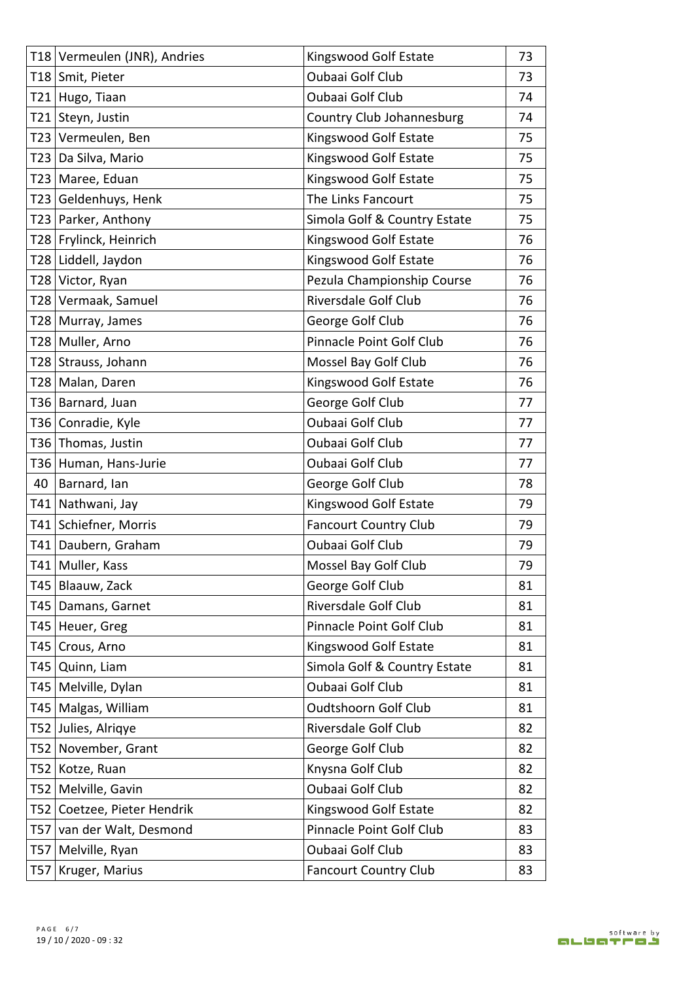|  | T18 Vermeulen (JNR), Andries | Kingswood Golf Estate        | 73 |
|--|------------------------------|------------------------------|----|
|  | T18 Smit, Pieter             | Oubaai Golf Club             | 73 |
|  | T21 Hugo, Tiaan              | Oubaai Golf Club             | 74 |
|  | T21 Steyn, Justin            | Country Club Johannesburg    | 74 |
|  | T23 Vermeulen, Ben           | Kingswood Golf Estate        | 75 |
|  | T23 Da Silva, Mario          | Kingswood Golf Estate        | 75 |
|  | T23 Maree, Eduan             | Kingswood Golf Estate        | 75 |
|  | T23 Geldenhuys, Henk         | The Links Fancourt           | 75 |
|  | T23 Parker, Anthony          | Simola Golf & Country Estate | 75 |
|  | T28 Frylinck, Heinrich       | Kingswood Golf Estate        | 76 |
|  | T28 Liddell, Jaydon          | Kingswood Golf Estate        | 76 |
|  | T28 Victor, Ryan             | Pezula Championship Course   | 76 |
|  | T28 Vermaak, Samuel          | Riversdale Golf Club         | 76 |
|  | T28 Murray, James            | George Golf Club             | 76 |
|  | T28 Muller, Arno             | Pinnacle Point Golf Club     | 76 |
|  | T28 Strauss, Johann          | Mossel Bay Golf Club         | 76 |
|  | T28 Malan, Daren             | Kingswood Golf Estate        | 76 |
|  | T36 Barnard, Juan            | George Golf Club             | 77 |
|  | T36 Conradie, Kyle           | Oubaai Golf Club             | 77 |
|  | T36 Thomas, Justin           | Oubaai Golf Club             | 77 |
|  | T36 Human, Hans-Jurie        | Oubaai Golf Club             | 77 |
|  | 40 Barnard, Ian              | George Golf Club             | 78 |
|  | T41 Nathwani, Jay            | Kingswood Golf Estate        | 79 |
|  | T41 Schiefner, Morris        | <b>Fancourt Country Club</b> | 79 |
|  | T41 Daubern, Graham          | Oubaai Golf Club             | 79 |
|  | T41 Muller, Kass             | Mossel Bay Golf Club         | 79 |
|  | T45   Blaauw, Zack           | George Golf Club             | 81 |
|  | T45   Damans, Garnet         | Riversdale Golf Club         | 81 |
|  | T45 Heuer, Greg              | Pinnacle Point Golf Club     | 81 |
|  | T45 Crous, Arno              | Kingswood Golf Estate        | 81 |
|  | T45 Quinn, Liam              | Simola Golf & Country Estate | 81 |
|  | T45   Melville, Dylan        | Oubaai Golf Club             | 81 |
|  | T45 Malgas, William          | <b>Oudtshoorn Golf Club</b>  | 81 |
|  | T52 Julies, Alrigye          | Riversdale Golf Club         | 82 |
|  | T52 November, Grant          | George Golf Club             | 82 |
|  | T52 Kotze, Ruan              | Knysna Golf Club             | 82 |
|  | T52   Melville, Gavin        | Oubaai Golf Club             | 82 |
|  | T52 Coetzee, Pieter Hendrik  | Kingswood Golf Estate        | 82 |
|  | T57 van der Walt, Desmond    | Pinnacle Point Golf Club     | 83 |
|  | T57 Melville, Ryan           | Oubaai Golf Club             | 83 |
|  | T57   Kruger, Marius         | <b>Fancourt Country Club</b> | 83 |
|  |                              |                              |    |